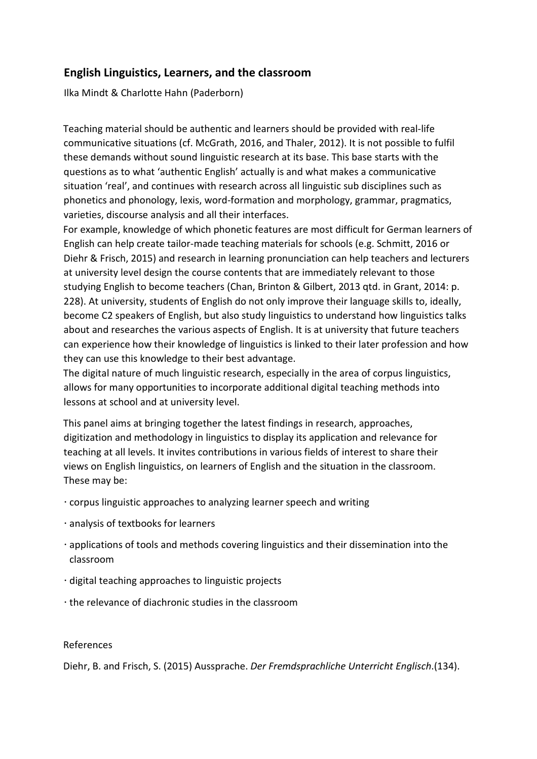## **English Linguistics, Learners, and the classroom**

Ilka Mindt & Charlotte Hahn (Paderborn)

Teaching material should be authentic and learners should be provided with real-life communicative situations (cf. McGrath, 2016, and Thaler, 2012). It is not possible to fulfil these demands without sound linguistic research at its base. This base starts with the questions as to what 'authentic English' actually is and what makes a communicative situation 'real', and continues with research across all linguistic sub disciplines such as phonetics and phonology, lexis, word-formation and morphology, grammar, pragmatics, varieties, discourse analysis and all their interfaces.

For example, knowledge of which phonetic features are most difficult for German learners of English can help create tailor-made teaching materials for schools (e.g. Schmitt, 2016 or Diehr & Frisch, 2015) and research in learning pronunciation can help teachers and lecturers at university level design the course contents that are immediately relevant to those studying English to become teachers (Chan, Brinton & Gilbert, 2013 qtd. in Grant, 2014: p. 228). At university, students of English do not only improve their language skills to, ideally, become C2 speakers of English, but also study linguistics to understand how linguistics talks about and researches the various aspects of English. It is at university that future teachers can experience how their knowledge of linguistics is linked to their later profession and how they can use this knowledge to their best advantage.

The digital nature of much linguistic research, especially in the area of corpus linguistics, allows for many opportunities to incorporate additional digital teaching methods into lessons at school and at university level.

This panel aims at bringing together the latest findings in research, approaches, digitization and methodology in linguistics to display its application and relevance for teaching at all levels. It invites contributions in various fields of interest to share their views on English linguistics, on learners of English and the situation in the classroom. These may be:

- corpus linguistic approaches to analyzing learner speech and writing
- analysis of textbooks for learners
- applications of tools and methods covering linguistics and their dissemination into the classroom
- digital teaching approaches to linguistic projects
- the relevance of diachronic studies in the classroom

## References

Diehr, B. and Frisch, S. (2015) Aussprache. *Der Fremdsprachliche Unterricht Englisch*.(134).